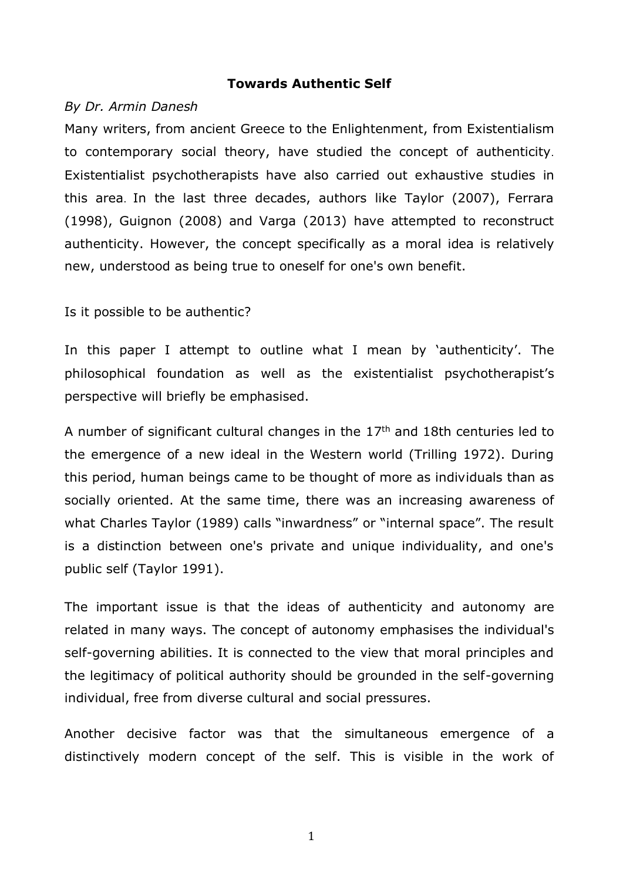## **Towards Authentic Self**

## *By Dr. Armin Danesh*

Many writers, from ancient Greece to the Enlightenment, from Existentialism to contemporary social theory, have studied the concept of authenticity. Existentialist psychotherapists have also carried out exhaustive studies in this area. In the last three decades, authors like Taylor (2007), Ferrara (1998), Guignon (2008) and Varga (2013) have attempted to reconstruct authenticity. However, the concept specifically as a moral idea is relatively new, understood as being true to oneself for one's own benefit.

Is it possible to be authentic?

In this paper I attempt to outline what I mean by 'authenticity'. The philosophical foundation as well as the existentialist psychotherapist's perspective will briefly be emphasised.

A number of significant cultural changes in the  $17<sup>th</sup>$  and 18th centuries led to the emergence of a new ideal in the Western world (Trilling 1972). During this period, human beings came to be thought of more as individuals than as socially oriented. At the same time, there was an increasing awareness of what Charles Taylor (1989) calls "inwardness" or "internal space". The result is a distinction between one's private and unique individuality, and one's public self (Taylor 1991).

The important issue is that the ideas of authenticity and autonomy are related in many ways. The concept of autonomy emphasises the individual's self-governing abilities. It is connected to the view that moral principles and the legitimacy of political authority should be grounded in the self-governing individual, free from diverse cultural and social pressures.

Another decisive factor was that the simultaneous emergence of a distinctively modern concept of the self. This is visible in the work of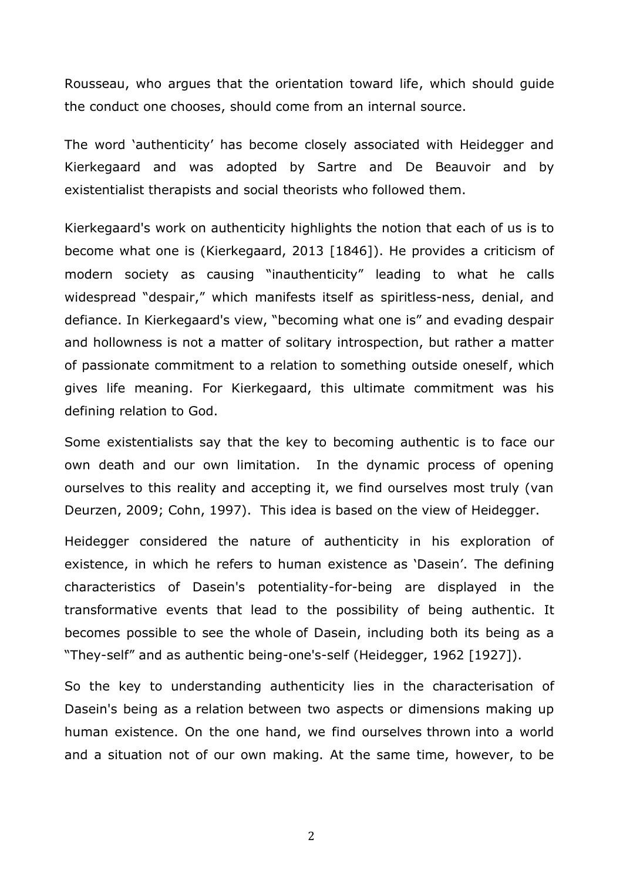Rousseau, who argues that the orientation toward life, which should guide the conduct one chooses, should come from an internal source.

The word 'authenticity' has become closely associated with Heidegger and Kierkegaard and was adopted by Sartre and De Beauvoir and by existentialist therapists and social theorists who followed them.

Kierkegaard's work on authenticity highlights the notion that each of us is to become what one is (Kierkegaard, 2013 [1846]). He provides a criticism of modern society as causing "inauthenticity" leading to what he calls widespread "despair," which manifests itself as spiritless-ness, denial, and defiance. In Kierkegaard's view, "becoming what one is" and evading despair and hollowness is not a matter of solitary introspection, but rather a matter of passionate commitment to a relation to something outside oneself, which gives life meaning. For Kierkegaard, this ultimate commitment was his defining relation to God.

Some existentialists say that the key to becoming authentic is to face our own death and our own limitation. In the dynamic process of opening ourselves to this reality and accepting it, we find ourselves most truly (van Deurzen, 2009; Cohn, 1997). This idea is based on the view of Heidegger.

Heidegger considered the nature of authenticity in his exploration of existence, in which he refers to human existence as 'Dasein'. The defining characteristics of Dasein's potentiality-for-being are displayed in the transformative events that lead to the possibility of being authentic. It becomes possible to see the whole of Dasein, including both its being as a "They-self" and as authentic being-one's-self (Heidegger, 1962 [1927]).

So the key to understanding authenticity lies in the characterisation of Dasein's being as a relation between two aspects or dimensions making up human existence. On the one hand, we find ourselves thrown into a world and a situation not of our own making. At the same time, however, to be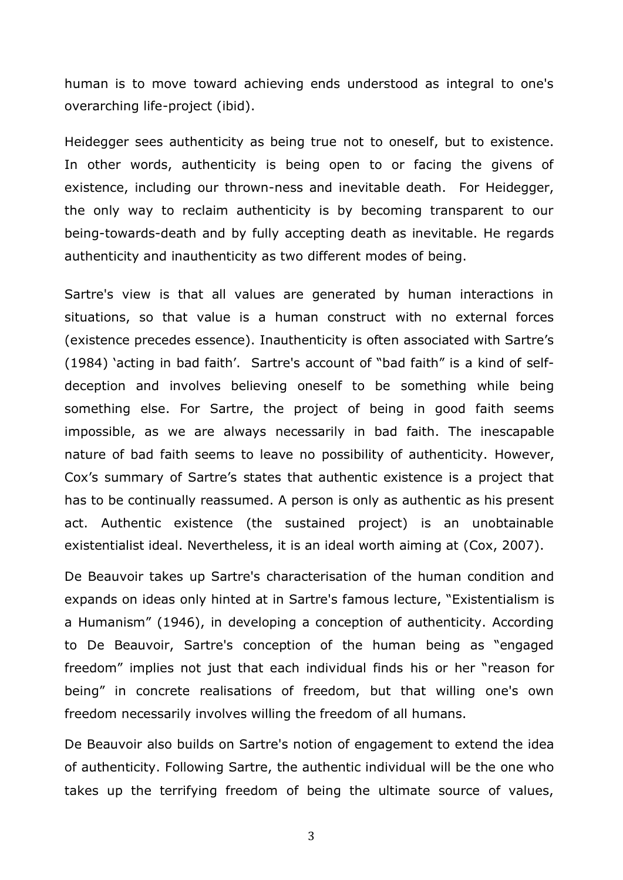human is to move toward achieving ends understood as integral to one's overarching life-project (ibid).

Heidegger sees authenticity as being true not to oneself, but to existence. In other words, authenticity is being open to or facing the givens of existence, including our thrown-ness and inevitable death. For Heidegger, the only way to reclaim authenticity is by becoming transparent to our being-towards-death and by fully accepting death as inevitable. He regards authenticity and inauthenticity as two different modes of being.

Sartre's view is that all values are generated by human interactions in situations, so that value is a human construct with no external forces (existence precedes essence). Inauthenticity is often associated with Sartre's (1984) 'acting in bad faith'. Sartre's account of "bad faith" is a kind of selfdeception and involves believing oneself to be something while being something else. For Sartre, the project of being in good faith seems impossible, as we are always necessarily in bad faith. The inescapable nature of bad faith seems to leave no possibility of authenticity. However, Cox's summary of Sartre's states that authentic existence is a project that has to be continually reassumed. A person is only as authentic as his present act. Authentic existence (the sustained project) is an unobtainable existentialist ideal. Nevertheless, it is an ideal worth aiming at (Cox, 2007).

De Beauvoir takes up Sartre's characterisation of the human condition and expands on ideas only hinted at in Sartre's famous lecture, "Existentialism is a Humanism" (1946), in developing a conception of authenticity. According to De Beauvoir, Sartre's conception of the human being as "engaged freedom" implies not just that each individual finds his or her "reason for being" in concrete realisations of freedom, but that willing one's own freedom necessarily involves willing the freedom of all humans.

De Beauvoir also builds on Sartre's notion of engagement to extend the idea of authenticity. Following Sartre, the authentic individual will be the one who takes up the terrifying freedom of being the ultimate source of values,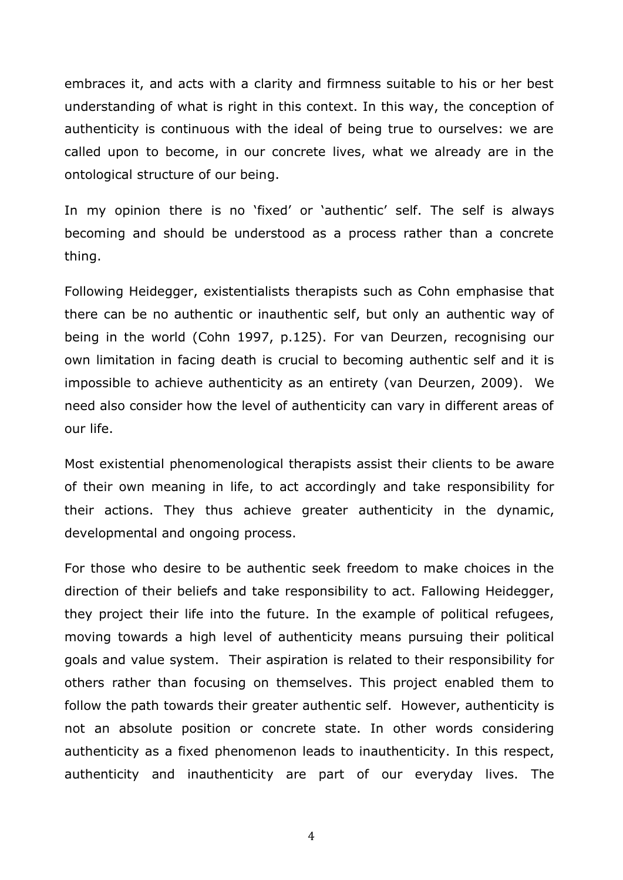embraces it, and acts with a clarity and firmness suitable to his or her best understanding of what is right in this context. In this way, the conception of authenticity is continuous with the ideal of being true to ourselves: we are called upon to become, in our concrete lives, what we already are in the ontological structure of our being.

In my opinion there is no 'fixed' or 'authentic' self. The self is always becoming and should be understood as a process rather than a concrete thing.

Following Heidegger, existentialists therapists such as Cohn emphasise that there can be no authentic or inauthentic self, but only an authentic way of being in the world (Cohn 1997, p.125). For van Deurzen, recognising our own limitation in facing death is crucial to becoming authentic self and it is impossible to achieve authenticity as an entirety (van Deurzen, 2009). We need also consider how the level of authenticity can vary in different areas of our life.

Most existential phenomenological therapists assist their clients to be aware of their own meaning in life, to act accordingly and take responsibility for their actions. They thus achieve greater authenticity in the dynamic, developmental and ongoing process.

For those who desire to be authentic seek freedom to make choices in the direction of their beliefs and take responsibility to act. Fallowing Heidegger, they project their life into the future. In the example of political refugees, moving towards a high level of authenticity means pursuing their political goals and value system. Their aspiration is related to their responsibility for others rather than focusing on themselves. This project enabled them to follow the path towards their greater authentic self. However, authenticity is not an absolute position or concrete state. In other words considering authenticity as a fixed phenomenon leads to inauthenticity. In this respect, authenticity and inauthenticity are part of our everyday lives. The